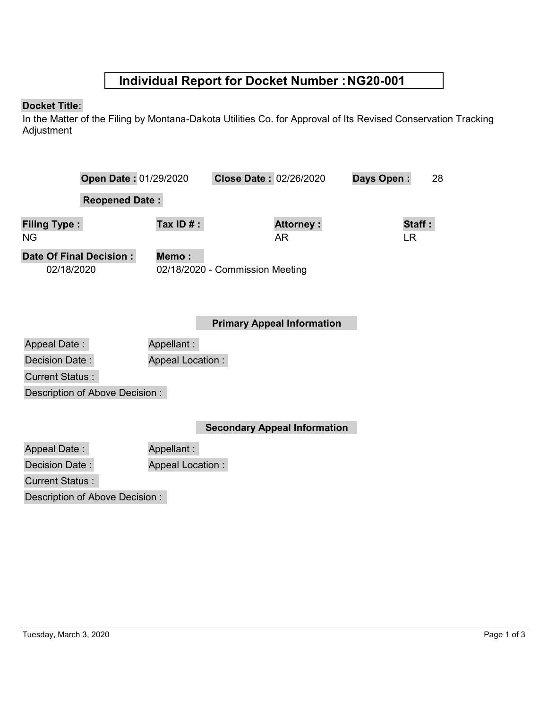## **Individual Report for Docket Number :NG20-001**

### **Docket Title:**

In the Matter of the Filing by Montana-Dakota Utilities Co. for Approval of Its Revised Conservation Tracking Adjustment

|                         | Open Date: 01/29/2020 |                         | Close Date: 02/26/2020          |                                   | Days Open: | 28     |  |
|-------------------------|-----------------------|-------------------------|---------------------------------|-----------------------------------|------------|--------|--|
|                         | <b>Reopened Date:</b> |                         |                                 |                                   |            |        |  |
|                         |                       |                         |                                 |                                   |            |        |  |
| <b>Filing Type:</b>     |                       | Tax ID $#$ :            |                                 | <b>Attorney:</b>                  |            | Staff: |  |
| ΝG                      |                       |                         |                                 | AR.                               |            | LR.    |  |
| Date Of Final Decision: |                       | Memo:                   |                                 |                                   |            |        |  |
| 02/18/2020              |                       |                         | 02/18/2020 - Commission Meeting |                                   |            |        |  |
|                         |                       |                         |                                 |                                   |            |        |  |
|                         |                       |                         |                                 |                                   |            |        |  |
|                         |                       |                         |                                 | <b>Primary Appeal Information</b> |            |        |  |
|                         |                       |                         |                                 |                                   |            |        |  |
| <b>Appeal Date:</b>     |                       | Appellant:              |                                 |                                   |            |        |  |
| Decision Date:          |                       | <b>Appeal Location:</b> |                                 |                                   |            |        |  |
| <b>Current Status:</b>  |                       |                         |                                 |                                   |            |        |  |

Description of Above Decision :

**Secondary Appeal Information**

|                                | Seco                    |
|--------------------------------|-------------------------|
| Appeal Date:                   | Appellant:              |
| Decision Date:                 | <b>Appeal Location:</b> |
| <b>Current Status:</b>         |                         |
| Description of Above Decision: |                         |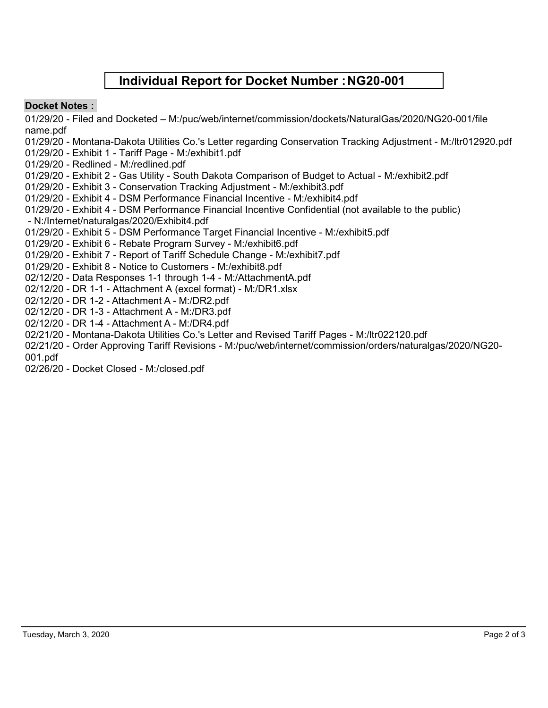## **Individual Report for Docket Number :NG20-001**

### **Docket Notes :**

01/29/20 - Filed and Docketed – M:/puc/web/internet/commission/dockets/NaturalGas/2020/NG20-001/file name.pdf

01/29/20 - Montana-Dakota Utilities Co.'s Letter regarding Conservation Tracking Adjustment - M:/ltr012920.pdf

01/29/20 - Exhibit 1 - Tariff Page - M:/exhibit1.pdf

- 01/29/20 Redlined M:/redlined.pdf
- 01/29/20 Exhibit 2 Gas Utility South Dakota Comparison of Budget to Actual M:/exhibit2.pdf
- 01/29/20 Exhibit 3 Conservation Tracking Adjustment M:/exhibit3.pdf
- 01/29/20 Exhibit 4 DSM Performance Financial Incentive M:/exhibit4.pdf
- 01/29/20 Exhibit 4 DSM Performance Financial Incentive Confidential (not available to the public) - N:/Internet/naturalgas/2020/Exhibit4.pdf
- 01/29/20 Exhibit 5 DSM Performance Target Financial Incentive M:/exhibit5.pdf
- 01/29/20 Exhibit 6 Rebate Program Survey M:/exhibit6.pdf
- 01/29/20 Exhibit 7 Report of Tariff Schedule Change M:/exhibit7.pdf
- 01/29/20 Exhibit 8 Notice to Customers M:/exhibit8.pdf
- 02/12/20 Data Responses 1-1 through 1-4 M:/AttachmentA.pdf
- 02/12/20 DR 1-1 Attachment A (excel format) M:/DR1.xlsx
- 02/12/20 DR 1-2 Attachment A M:/DR2.pdf
- 02/12/20 DR 1-3 Attachment A M:/DR3.pdf
- 02/12/20 DR 1-4 Attachment A M:/DR4.pdf
- 02/21/20 Montana-Dakota Utilities Co.'s Letter and Revised Tariff Pages M:/ltr022120.pdf
- 02/21/20 Order Approving Tariff Revisions M:/puc/web/internet/commission/orders/naturalgas/2020/NG20-

001.pdf

02/26/20 - Docket Closed - M:/closed.pdf